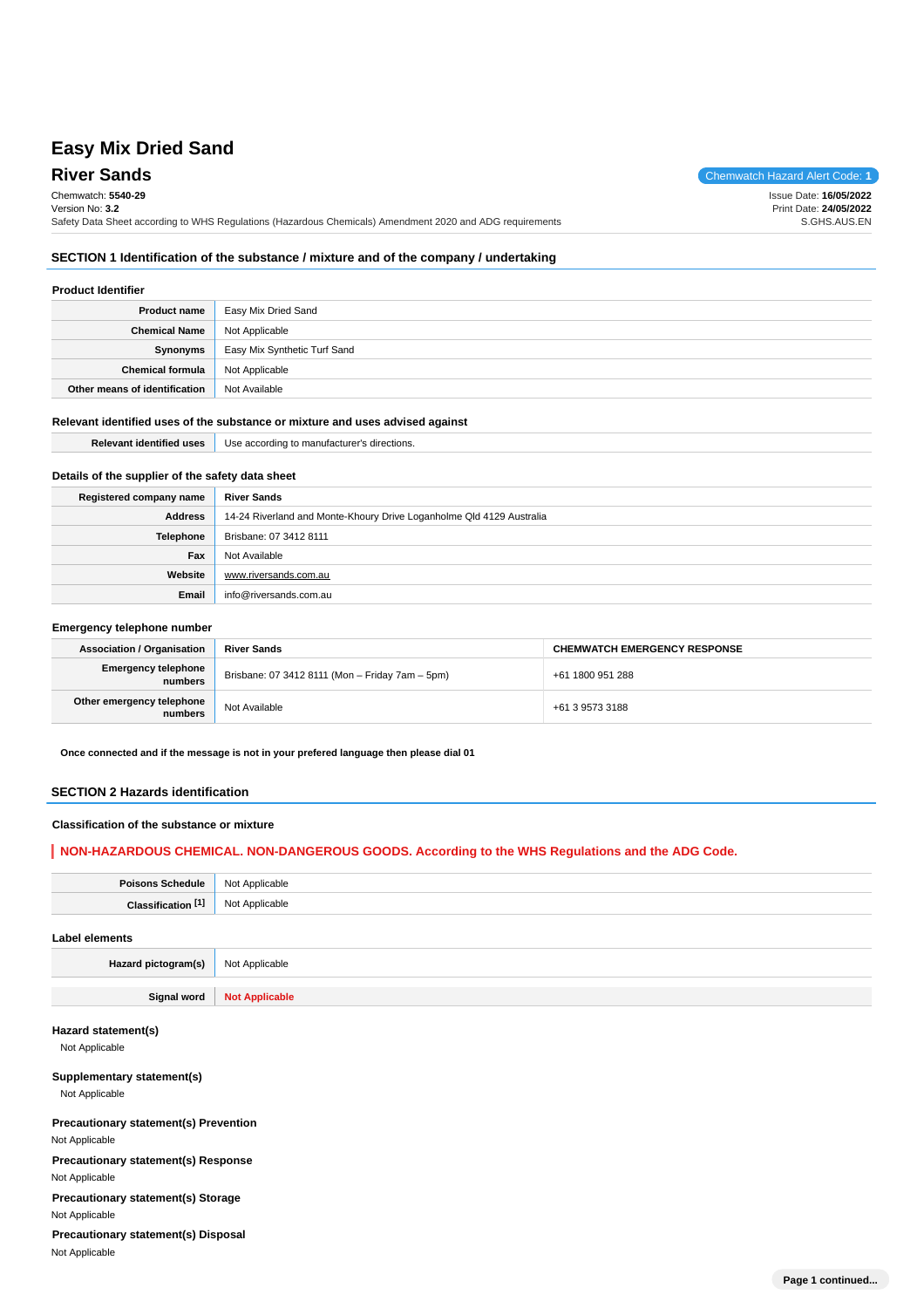# **Easy Mix Dried Sand**

**River Sands** Chemwatch Hazard Alert Code: 1 Chemwatch: **5540-29** Version No: **3.2** Safety Data Sheet according to WHS Regulations (Hazardous Chemicals) Amendment 2020 and ADG requirements Issue Date: **16/05/2022** Print Date: **24/05/2022** S.GHS.AUS.EN

## **SECTION 1 Identification of the substance / mixture and of the company / undertaking**

### **Product Identifier**

| <b>Product name</b>           | Easy Mix Dried Sand          |
|-------------------------------|------------------------------|
| <b>Chemical Name</b>          | Not Applicable               |
| Synonyms                      | Easy Mix Synthetic Turf Sand |
| <b>Chemical formula</b>       | Not Applicable               |
| Other means of identification | Not Available                |

#### **Relevant identified uses of the substance or mixture and uses advised against**

**Email** info@riversands.com.au

| <b>Relevant identified uses</b>                  | Use according to manufacturer's directions.                          |
|--------------------------------------------------|----------------------------------------------------------------------|
|                                                  |                                                                      |
| Details of the supplier of the safety data sheet |                                                                      |
| Registered company name                          | <b>River Sands</b>                                                   |
| <b>Address</b>                                   | 14-24 Riverland and Monte-Khoury Drive Loganholme Qld 4129 Australia |
| <b>Telephone</b>                                 | Brisbane: 07 3412 8111                                               |
| Fax                                              | Not Available                                                        |
| Website                                          | www.riversands.com.au                                                |

#### **Emergency telephone number**

| <b>Association / Organisation</b>     | <b>River Sands</b>                              | <b>CHEMWATCH EMERGENCY RESPONSE</b> |
|---------------------------------------|-------------------------------------------------|-------------------------------------|
| <b>Emergency telephone</b><br>numbers | Brisbane: 07 3412 8111 (Mon - Friday 7am - 5pm) | +61 1800 951 288                    |
| Other emergency telephone<br>numbers  | Not Available                                   | +61 3 9573 3188                     |

**Once connected and if the message is not in your prefered language then please dial 01**

#### **SECTION 2 Hazards identification**

#### **Classification of the substance or mixture**

### **NON-HAZARDOUS CHEMICAL. NON-DANGEROUS GOODS. According to the WHS Regulations and the ADG Code.**

| <b>Poisons Schedule</b>      |                     |
|------------------------------|---------------------|
|                              | Not<br>: Applicable |
| <b>TAT</b><br>Claecification | Not<br>Applicable   |
|                              |                     |

#### **Label elements**

**Hazard pictogram(s)** Not Applicable

**Signal word Not Applicable**

#### **Hazard statement(s)**

Not Applicable

#### **Supplementary statement(s)**

Not Applicable

#### **Precautionary statement(s) Prevention** Not Applicable

**Precautionary statement(s) Response** Not Applicable

**Precautionary statement(s) Storage** Not Applicable

**Precautionary statement(s) Disposal** Not Applicable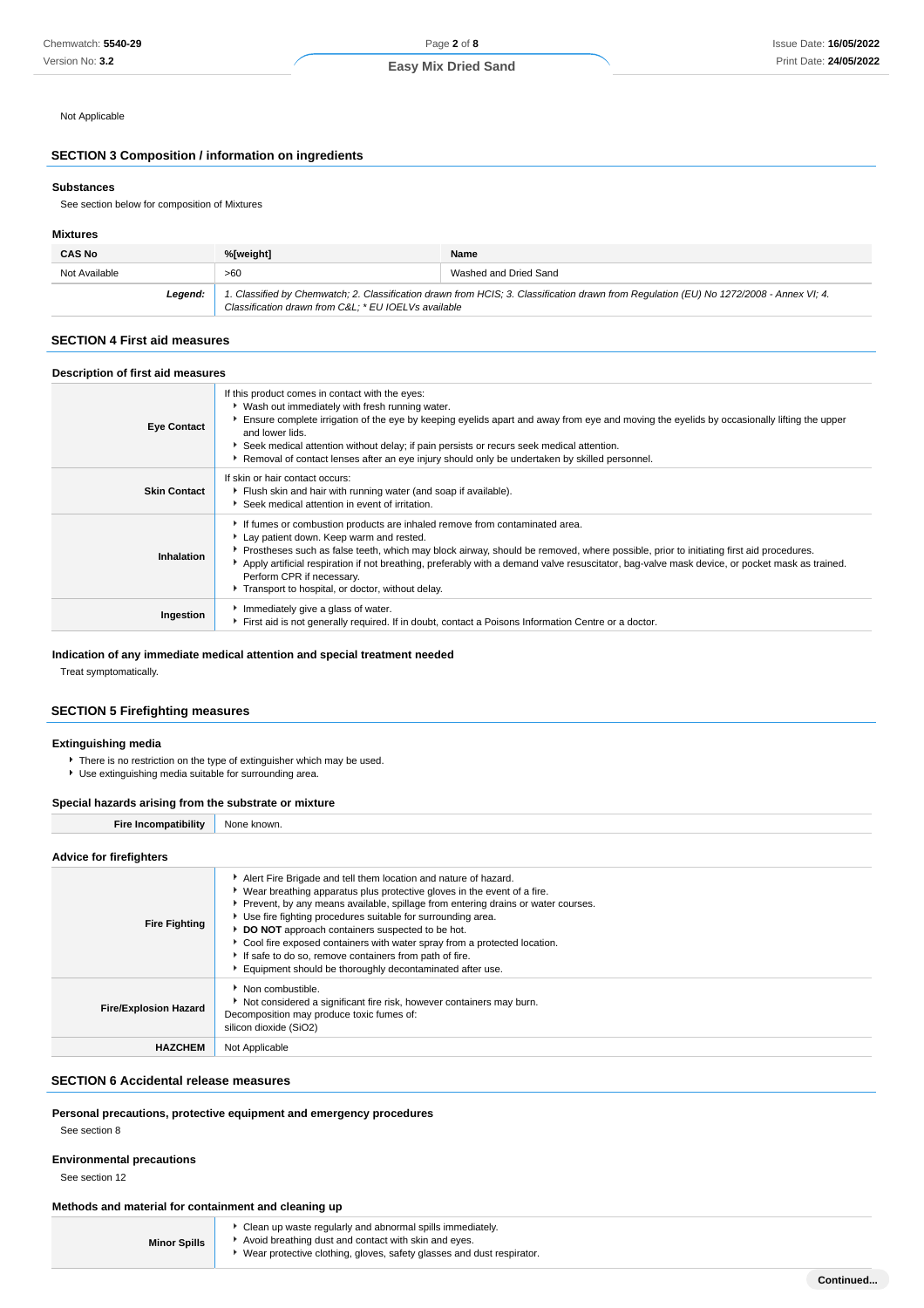Not Applicable

### **SECTION 3 Composition / information on ingredients**

#### **Substances**

See section below for composition of Mixtures

#### **Mixtures**

| <b>CAS No</b> | %[weight]                                                                                                                                                                                      | Name                  |
|---------------|------------------------------------------------------------------------------------------------------------------------------------------------------------------------------------------------|-----------------------|
| Not Available | >60                                                                                                                                                                                            | Washed and Dried Sand |
| Legend:       | 1. Classified by Chemwatch; 2. Classification drawn from HCIS; 3. Classification drawn from Regulation (EU) No 1272/2008 - Annex VI; 4.<br>Classification drawn from C&L * EU IOELVs available |                       |

#### **SECTION 4 First aid measures**

## **Description of first aid measures**

| <b>Eye Contact</b>  | If this product comes in contact with the eyes:<br>▶ Wash out immediately with fresh running water.<br>Ensure complete irrigation of the eye by keeping eyelids apart and away from eye and moving the eyelids by occasionally lifting the upper<br>and lower lids.<br>Seek medical attention without delay; if pain persists or recurs seek medical attention.<br>Removal of contact lenses after an eye injury should only be undertaken by skilled personnel.                                |
|---------------------|-------------------------------------------------------------------------------------------------------------------------------------------------------------------------------------------------------------------------------------------------------------------------------------------------------------------------------------------------------------------------------------------------------------------------------------------------------------------------------------------------|
| <b>Skin Contact</b> | If skin or hair contact occurs:<br>Flush skin and hair with running water (and soap if available).<br>Seek medical attention in event of irritation.                                                                                                                                                                                                                                                                                                                                            |
| Inhalation          | If fumes or combustion products are inhaled remove from contaminated area.<br>Lay patient down. Keep warm and rested.<br>Prostheses such as false teeth, which may block airway, should be removed, where possible, prior to initiating first aid procedures.<br>Apply artificial respiration if not breathing, preferably with a demand valve resuscitator, bag-valve mask device, or pocket mask as trained.<br>Perform CPR if necessary.<br>Transport to hospital, or doctor, without delay. |
| Ingestion           | Immediately give a glass of water.<br>First aid is not generally required. If in doubt, contact a Poisons Information Centre or a doctor.                                                                                                                                                                                                                                                                                                                                                       |

#### **Indication of any immediate medical attention and special treatment needed**

Treat symptomatically.

## **SECTION 5 Firefighting measures**

#### **Extinguishing media**

- There is no restriction on the type of extinguisher which may be used.
- Use extinguishing media suitable for surrounding area.

#### **Special hazards arising from the substrate or mixture**

| <b>Fire Incompatibility</b>    | None known.                                                                                                                                                                                                                                                                                                                                                                                                                                                                                                                                          |  |
|--------------------------------|------------------------------------------------------------------------------------------------------------------------------------------------------------------------------------------------------------------------------------------------------------------------------------------------------------------------------------------------------------------------------------------------------------------------------------------------------------------------------------------------------------------------------------------------------|--|
| <b>Advice for firefighters</b> |                                                                                                                                                                                                                                                                                                                                                                                                                                                                                                                                                      |  |
| <b>Fire Fighting</b>           | Alert Fire Brigade and tell them location and nature of hazard.<br>► Wear breathing apparatus plus protective gloves in the event of a fire.<br>Prevent, by any means available, spillage from entering drains or water courses.<br>Use fire fighting procedures suitable for surrounding area.<br>DO NOT approach containers suspected to be hot.<br>Cool fire exposed containers with water spray from a protected location.<br>If safe to do so, remove containers from path of fire.<br>Equipment should be thoroughly decontaminated after use. |  |
|                                | • Non combustible.                                                                                                                                                                                                                                                                                                                                                                                                                                                                                                                                   |  |

| <b>Fire/Explosion Hazard</b> | Non combustible.<br>▶ Not considered a significant fire risk, however containers may burn.<br>Decomposition may produce toxic fumes of:<br>silicon dioxide (SiO2) |
|------------------------------|-------------------------------------------------------------------------------------------------------------------------------------------------------------------|
| <b>HAZCHEM</b>               | Not Applicable                                                                                                                                                    |

#### **SECTION 6 Accidental release measures**

### **Personal precautions, protective equipment and emergency procedures**

See section 8

#### **Environmental precautions**

See section 12

#### **Methods and material for containment and cleaning up**

| <b>Minor Spills</b> | • Clean up waste regularly and abnormal spills immediately.<br>Avoid breathing dust and contact with skin and eyes.<br>Wear protective clothing, gloves, safety glasses and dust respirator. |
|---------------------|----------------------------------------------------------------------------------------------------------------------------------------------------------------------------------------------|
|---------------------|----------------------------------------------------------------------------------------------------------------------------------------------------------------------------------------------|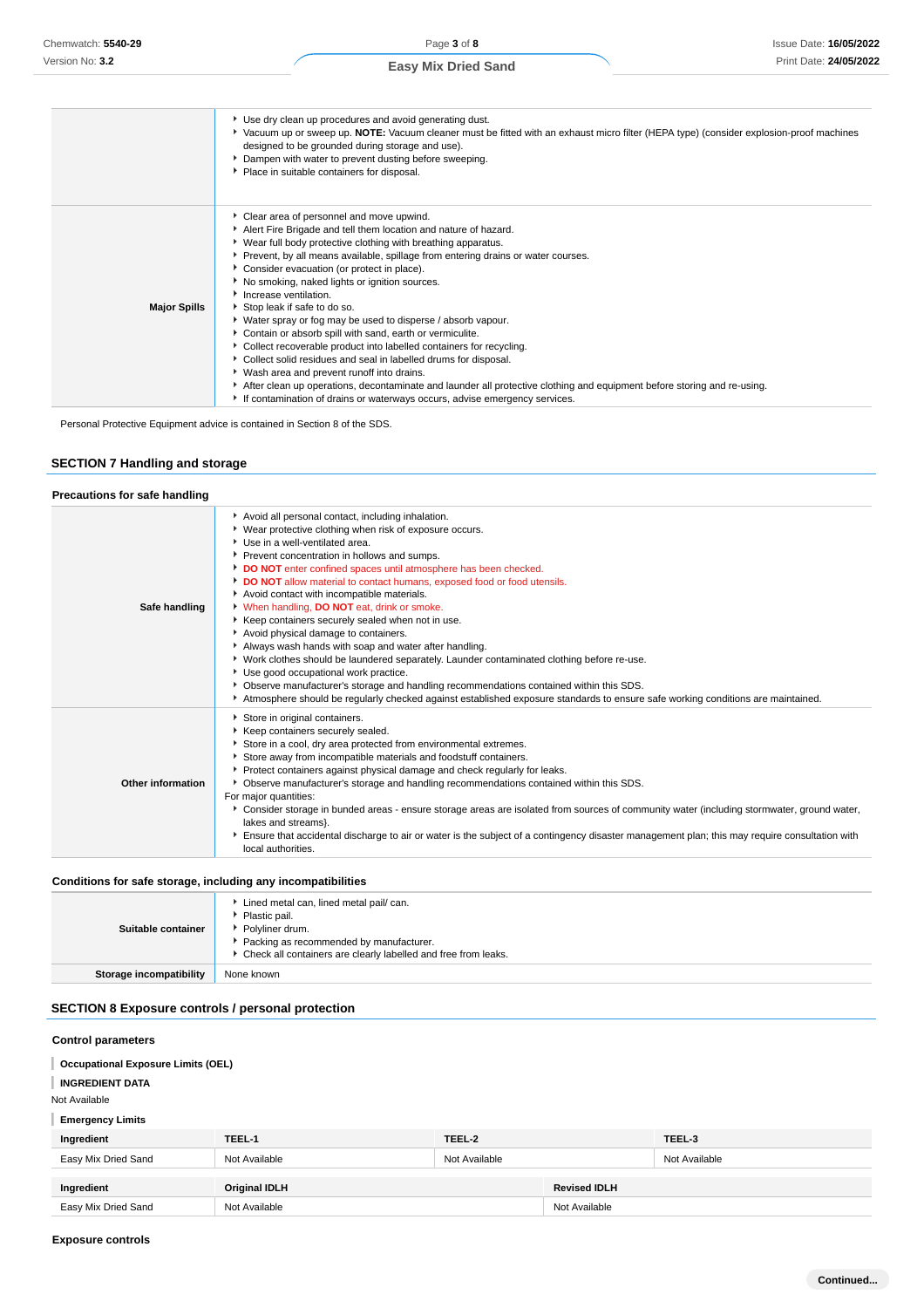|                     | Use dry clean up procedures and avoid generating dust.<br>▶ Vacuum up or sweep up. NOTE: Vacuum cleaner must be fitted with an exhaust micro filter (HEPA type) (consider explosion-proof machines<br>designed to be grounded during storage and use).<br>Dampen with water to prevent dusting before sweeping.<br>Place in suitable containers for disposal.                                                                                                                                                                                                                                                                                                                                                                                                                                                                                                                                                                                               |
|---------------------|-------------------------------------------------------------------------------------------------------------------------------------------------------------------------------------------------------------------------------------------------------------------------------------------------------------------------------------------------------------------------------------------------------------------------------------------------------------------------------------------------------------------------------------------------------------------------------------------------------------------------------------------------------------------------------------------------------------------------------------------------------------------------------------------------------------------------------------------------------------------------------------------------------------------------------------------------------------|
| <b>Major Spills</b> | Clear area of personnel and move upwind.<br>Alert Fire Brigade and tell them location and nature of hazard.<br>▶ Wear full body protective clothing with breathing apparatus.<br>Prevent, by all means available, spillage from entering drains or water courses.<br>• Consider evacuation (or protect in place).<br>No smoking, naked lights or ignition sources.<br>Increase ventilation.<br>Stop leak if safe to do so.<br>▶ Water spray or fog may be used to disperse / absorb vapour.<br>Contain or absorb spill with sand, earth or vermiculite.<br>• Collect recoverable product into labelled containers for recycling.<br>Collect solid residues and seal in labelled drums for disposal.<br>▶ Wash area and prevent runoff into drains.<br>After clean up operations, decontaminate and launder all protective clothing and equipment before storing and re-using.<br>If contamination of drains or waterways occurs, advise emergency services. |

Personal Protective Equipment advice is contained in Section 8 of the SDS.

## **SECTION 7 Handling and storage**

#### **Precautions for safe handling**

| Safe handling     | Avoid all personal contact, including inhalation.<br>▶ Wear protective clothing when risk of exposure occurs.<br>Use in a well-ventilated area.<br>Prevent concentration in hollows and sumps.<br>DO NOT enter confined spaces until atmosphere has been checked.<br>DO NOT allow material to contact humans, exposed food or food utensils.<br>Avoid contact with incompatible materials.<br>V When handling, DO NOT eat, drink or smoke.<br>Keep containers securely sealed when not in use.<br>Avoid physical damage to containers.<br>Always wash hands with soap and water after handling.<br>▶ Work clothes should be laundered separately. Launder contaminated clothing before re-use.<br>▶ Use good occupational work practice.<br>• Observe manufacturer's storage and handling recommendations contained within this SDS.<br>Atmosphere should be regularly checked against established exposure standards to ensure safe working conditions are maintained. |
|-------------------|-------------------------------------------------------------------------------------------------------------------------------------------------------------------------------------------------------------------------------------------------------------------------------------------------------------------------------------------------------------------------------------------------------------------------------------------------------------------------------------------------------------------------------------------------------------------------------------------------------------------------------------------------------------------------------------------------------------------------------------------------------------------------------------------------------------------------------------------------------------------------------------------------------------------------------------------------------------------------|
| Other information | Store in original containers.<br>Keep containers securely sealed.<br>Store in a cool, dry area protected from environmental extremes.<br>Store away from incompatible materials and foodstuff containers.<br>Protect containers against physical damage and check regularly for leaks.<br>• Observe manufacturer's storage and handling recommendations contained within this SDS.<br>For major quantities:<br>▶ Consider storage in bunded areas - ensure storage areas are isolated from sources of community water (including stormwater, ground water,<br>lakes and streams}.<br>Ensure that accidental discharge to air or water is the subject of a contingency disaster management plan; this may require consultation with<br>local authorities.                                                                                                                                                                                                                |

#### **Conditions for safe storage, including any incompatibilities**

| . .                            |                                                                                                                                                                                                |
|--------------------------------|------------------------------------------------------------------------------------------------------------------------------------------------------------------------------------------------|
| Suitable container             | Lined metal can, lined metal pail/ can.<br>▶ Plastic pail.<br>▶ Polyliner drum.<br>Packing as recommended by manufacturer.<br>▶ Check all containers are clearly labelled and free from leaks. |
| <b>Storage incompatibility</b> | None known                                                                                                                                                                                     |

### **SECTION 8 Exposure controls / personal protection**

## **Control parameters Occupational Exposure Limits (OEL) INGREDIENT DATA** I Not Available **Emergency Limits Ingredient TEEL-1 TEEL-2 TEEL-3** Easy Mix Dried Sand Not Available Not Available Not Available Not Available Not Available Not Available **Ingredient Criginal IDLH Revised IDLH** Easy Mix Dried Sand **Not Available** Not Available Not Available Not Available Not Available Not Available Not Available

**Exposure controls**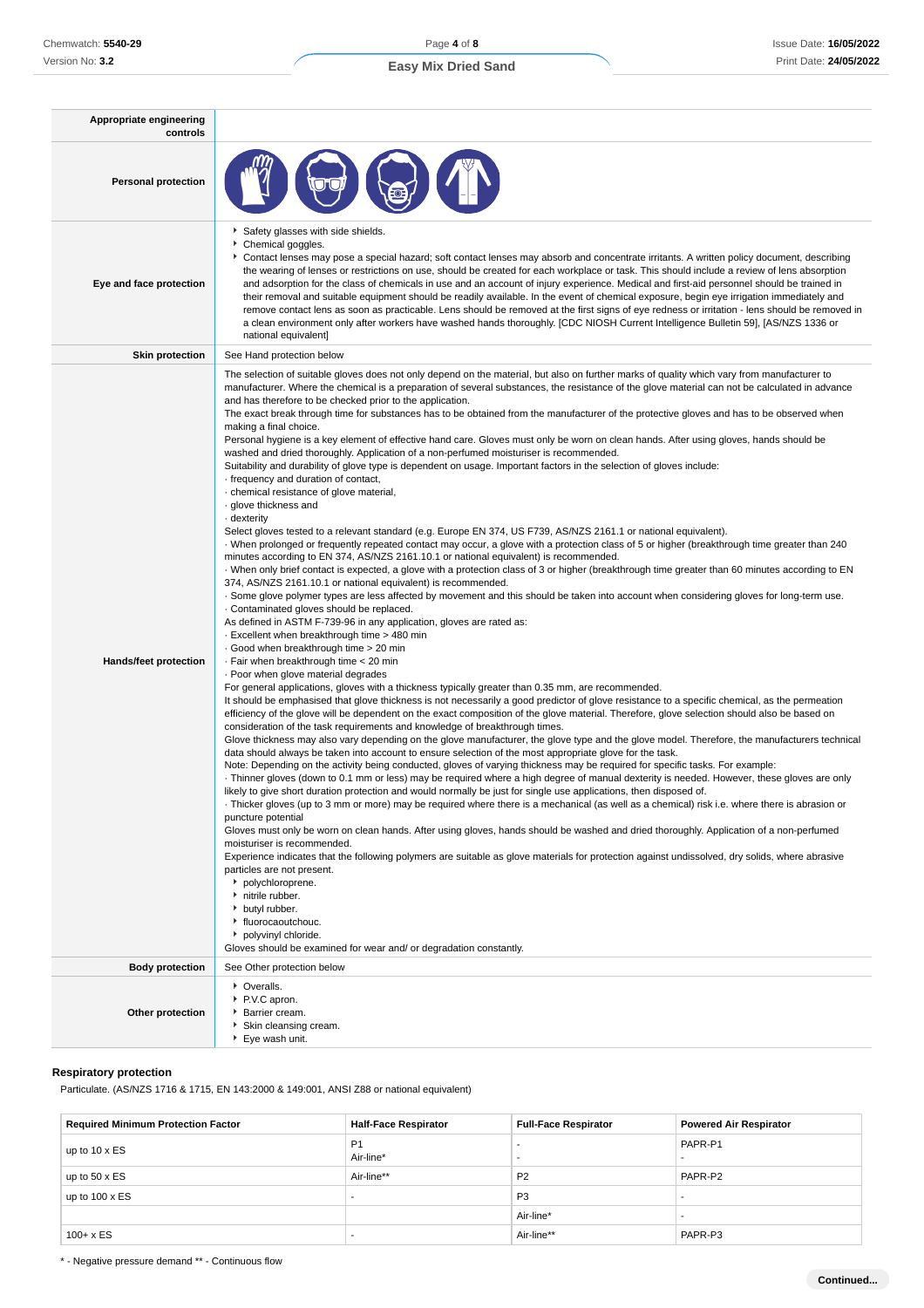| Appropriate engineering<br>controls |                                                                                                                                                                                                                                                                                                                                                                                                                                                                                                                                                                                                                                                                                                                                                                                                                                                                                                                                                                                                                                                                                                                                                                                                                                                                                                                                                                                                                                                                                                                                                                                                                                                                                                                                                                                                                                                                                                                                                                                                                                                                                                                                                                                                                                                                                                                                                                                                                                                                                                                                                                                                                                                                                                                                                                                                                                                                                                                                                                                                                                                                                                                                                                                                                                                                                                                                                                                                                                                                                                                                                                                                                                                                                                                                                                                                                                                         |
|-------------------------------------|---------------------------------------------------------------------------------------------------------------------------------------------------------------------------------------------------------------------------------------------------------------------------------------------------------------------------------------------------------------------------------------------------------------------------------------------------------------------------------------------------------------------------------------------------------------------------------------------------------------------------------------------------------------------------------------------------------------------------------------------------------------------------------------------------------------------------------------------------------------------------------------------------------------------------------------------------------------------------------------------------------------------------------------------------------------------------------------------------------------------------------------------------------------------------------------------------------------------------------------------------------------------------------------------------------------------------------------------------------------------------------------------------------------------------------------------------------------------------------------------------------------------------------------------------------------------------------------------------------------------------------------------------------------------------------------------------------------------------------------------------------------------------------------------------------------------------------------------------------------------------------------------------------------------------------------------------------------------------------------------------------------------------------------------------------------------------------------------------------------------------------------------------------------------------------------------------------------------------------------------------------------------------------------------------------------------------------------------------------------------------------------------------------------------------------------------------------------------------------------------------------------------------------------------------------------------------------------------------------------------------------------------------------------------------------------------------------------------------------------------------------------------------------------------------------------------------------------------------------------------------------------------------------------------------------------------------------------------------------------------------------------------------------------------------------------------------------------------------------------------------------------------------------------------------------------------------------------------------------------------------------------------------------------------------------------------------------------------------------------------------------------------------------------------------------------------------------------------------------------------------------------------------------------------------------------------------------------------------------------------------------------------------------------------------------------------------------------------------------------------------------------------------------------------------------------------------------------------------------|
| <b>Personal protection</b>          |                                                                                                                                                                                                                                                                                                                                                                                                                                                                                                                                                                                                                                                                                                                                                                                                                                                                                                                                                                                                                                                                                                                                                                                                                                                                                                                                                                                                                                                                                                                                                                                                                                                                                                                                                                                                                                                                                                                                                                                                                                                                                                                                                                                                                                                                                                                                                                                                                                                                                                                                                                                                                                                                                                                                                                                                                                                                                                                                                                                                                                                                                                                                                                                                                                                                                                                                                                                                                                                                                                                                                                                                                                                                                                                                                                                                                                                         |
| Eye and face protection             | Safety glasses with side shields.<br>Chemical goggles.<br>▶ Contact lenses may pose a special hazard; soft contact lenses may absorb and concentrate irritants. A written policy document, describing<br>the wearing of lenses or restrictions on use, should be created for each workplace or task. This should include a review of lens absorption<br>and adsorption for the class of chemicals in use and an account of injury experience. Medical and first-aid personnel should be trained in<br>their removal and suitable equipment should be readily available. In the event of chemical exposure, begin eye irrigation immediately and<br>remove contact lens as soon as practicable. Lens should be removed at the first signs of eye redness or irritation - lens should be removed in<br>a clean environment only after workers have washed hands thoroughly. [CDC NIOSH Current Intelligence Bulletin 59], [AS/NZS 1336 or<br>national equivalent]                                                                                                                                                                                                                                                                                                                                                                                                                                                                                                                                                                                                                                                                                                                                                                                                                                                                                                                                                                                                                                                                                                                                                                                                                                                                                                                                                                                                                                                                                                                                                                                                                                                                                                                                                                                                                                                                                                                                                                                                                                                                                                                                                                                                                                                                                                                                                                                                                                                                                                                                                                                                                                                                                                                                                                                                                                                                                         |
| <b>Skin protection</b>              | See Hand protection below                                                                                                                                                                                                                                                                                                                                                                                                                                                                                                                                                                                                                                                                                                                                                                                                                                                                                                                                                                                                                                                                                                                                                                                                                                                                                                                                                                                                                                                                                                                                                                                                                                                                                                                                                                                                                                                                                                                                                                                                                                                                                                                                                                                                                                                                                                                                                                                                                                                                                                                                                                                                                                                                                                                                                                                                                                                                                                                                                                                                                                                                                                                                                                                                                                                                                                                                                                                                                                                                                                                                                                                                                                                                                                                                                                                                                               |
| <b>Hands/feet protection</b>        | The selection of suitable gloves does not only depend on the material, but also on further marks of quality which vary from manufacturer to<br>manufacturer. Where the chemical is a preparation of several substances, the resistance of the glove material can not be calculated in advance<br>and has therefore to be checked prior to the application.<br>The exact break through time for substances has to be obtained from the manufacturer of the protective gloves and has to be observed when<br>making a final choice.<br>Personal hygiene is a key element of effective hand care. Gloves must only be worn on clean hands. After using gloves, hands should be<br>washed and dried thoroughly. Application of a non-perfumed moisturiser is recommended.<br>Suitability and durability of glove type is dependent on usage. Important factors in the selection of gloves include:<br>frequency and duration of contact,<br>· chemical resistance of glove material,<br>· glove thickness and<br>· dexterity<br>Select gloves tested to a relevant standard (e.g. Europe EN 374, US F739, AS/NZS 2161.1 or national equivalent).<br>When prolonged or frequently repeated contact may occur, a glove with a protection class of 5 or higher (breakthrough time greater than 240<br>minutes according to EN 374, AS/NZS 2161.10.1 or national equivalent) is recommended.<br>· When only brief contact is expected, a glove with a protection class of 3 or higher (breakthrough time greater than 60 minutes according to EN<br>374, AS/NZS 2161.10.1 or national equivalent) is recommended.<br>. Some glove polymer types are less affected by movement and this should be taken into account when considering gloves for long-term use.<br>Contaminated gloves should be replaced.<br>As defined in ASTM F-739-96 in any application, gloves are rated as:<br>- Excellent when breakthrough time > 480 min<br>Good when breakthrough time > 20 min<br>· Fair when breakthrough time < 20 min<br>· Poor when glove material degrades<br>For general applications, gloves with a thickness typically greater than 0.35 mm, are recommended.<br>It should be emphasised that glove thickness is not necessarily a good predictor of glove resistance to a specific chemical, as the permeation<br>efficiency of the glove will be dependent on the exact composition of the glove material. Therefore, glove selection should also be based on<br>consideration of the task requirements and knowledge of breakthrough times.<br>Glove thickness may also vary depending on the glove manufacturer, the glove type and the glove model. Therefore, the manufacturers technical<br>data should always be taken into account to ensure selection of the most appropriate glove for the task.<br>Note: Depending on the activity being conducted, gloves of varying thickness may be required for specific tasks. For example:<br>· Thinner gloves (down to 0.1 mm or less) may be required where a high degree of manual dexterity is needed. However, these gloves are only<br>likely to give short duration protection and would normally be just for single use applications, then disposed of.<br>Thicker gloves (up to 3 mm or more) may be required where there is a mechanical (as well as a chemical) risk i.e. where there is abrasion or<br>puncture potential<br>Gloves must only be worn on clean hands. After using gloves, hands should be washed and dried thoroughly. Application of a non-perfumed<br>moisturiser is recommended.<br>Experience indicates that the following polymers are suitable as glove materials for protection against undissolved, dry solids, where abrasive<br>particles are not present.<br>• polychloroprene.<br>nitrile rubber.<br>butyl rubber.<br>▶ fluorocaoutchouc.<br>• polyvinyl chloride. |
|                                     | Gloves should be examined for wear and/ or degradation constantly.                                                                                                                                                                                                                                                                                                                                                                                                                                                                                                                                                                                                                                                                                                                                                                                                                                                                                                                                                                                                                                                                                                                                                                                                                                                                                                                                                                                                                                                                                                                                                                                                                                                                                                                                                                                                                                                                                                                                                                                                                                                                                                                                                                                                                                                                                                                                                                                                                                                                                                                                                                                                                                                                                                                                                                                                                                                                                                                                                                                                                                                                                                                                                                                                                                                                                                                                                                                                                                                                                                                                                                                                                                                                                                                                                                                      |
| <b>Body protection</b>              | See Other protection below                                                                                                                                                                                                                                                                                                                                                                                                                                                                                                                                                                                                                                                                                                                                                                                                                                                                                                                                                                                                                                                                                                                                                                                                                                                                                                                                                                                                                                                                                                                                                                                                                                                                                                                                                                                                                                                                                                                                                                                                                                                                                                                                                                                                                                                                                                                                                                                                                                                                                                                                                                                                                                                                                                                                                                                                                                                                                                                                                                                                                                                                                                                                                                                                                                                                                                                                                                                                                                                                                                                                                                                                                                                                                                                                                                                                                              |
| Other protection                    | • Overalls.<br>P.V.C apron.<br>Barrier cream.<br>Skin cleansing cream.<br>▶ Eye wash unit.                                                                                                                                                                                                                                                                                                                                                                                                                                                                                                                                                                                                                                                                                                                                                                                                                                                                                                                                                                                                                                                                                                                                                                                                                                                                                                                                                                                                                                                                                                                                                                                                                                                                                                                                                                                                                                                                                                                                                                                                                                                                                                                                                                                                                                                                                                                                                                                                                                                                                                                                                                                                                                                                                                                                                                                                                                                                                                                                                                                                                                                                                                                                                                                                                                                                                                                                                                                                                                                                                                                                                                                                                                                                                                                                                              |

### **Respiratory protection**

Particulate. (AS/NZS 1716 & 1715, EN 143:2000 & 149:001, ANSI Z88 or national equivalent)

| <b>Required Minimum Protection Factor</b> | <b>Half-Face Respirator</b> | <b>Full-Face Respirator</b> | <b>Powered Air Respirator</b> |
|-------------------------------------------|-----------------------------|-----------------------------|-------------------------------|
| up to 10 x ES                             | P <sub>1</sub><br>Air-line* | <br>                        | PAPR-P1                       |
| up to $50 \times ES$                      | Air-line**                  | P <sub>2</sub>              | PAPR-P2                       |
| up to $100 \times ES$                     |                             | P <sub>3</sub>              |                               |
|                                           |                             | Air-line*                   |                               |
| $100 + x ES$                              |                             | Air-line**                  | PAPR-P3                       |

\* - Negative pressure demand \*\* - Continuous flow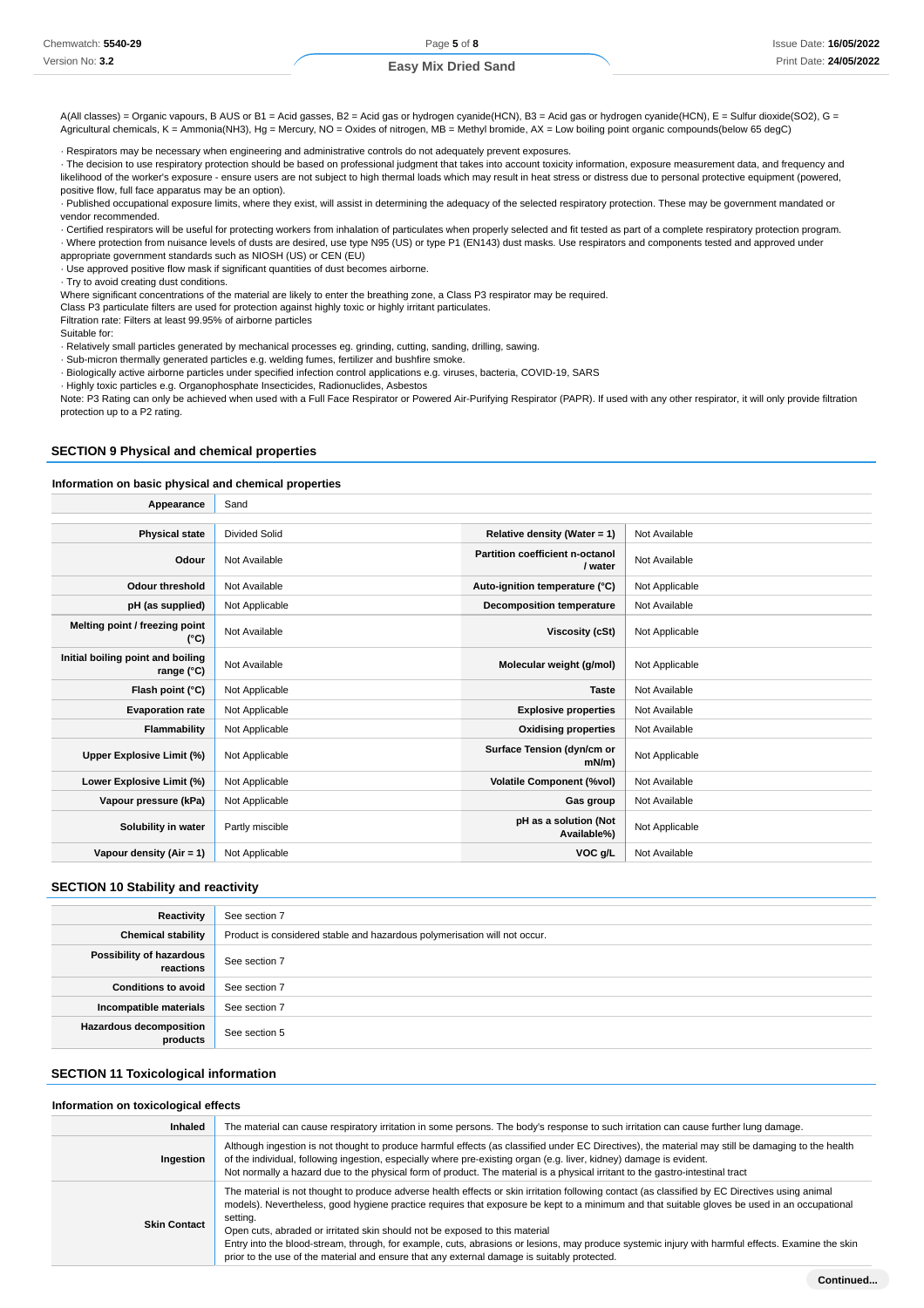#### **Easy Mix Dried Sand**

A(All classes) = Organic vapours, B AUS or B1 = Acid gasses, B2 = Acid gas or hydrogen cyanide(HCN), B3 = Acid gas or hydrogen cyanide(HCN), E = Sulfur dioxide(SO2), G = Agricultural chemicals, K = Ammonia(NH3), Hg = Mercury, NO = Oxides of nitrogen, MB = Methyl bromide, AX = Low boiling point organic compounds(below 65 degC)

· Respirators may be necessary when engineering and administrative controls do not adequately prevent exposures.

· The decision to use respiratory protection should be based on professional judgment that takes into account toxicity information, exposure measurement data, and frequency and likelihood of the worker's exposure - ensure users are not subject to high thermal loads which may result in heat stress or distress due to personal protective equipment (powered, positive flow, full face apparatus may be an option).

· Published occupational exposure limits, where they exist, will assist in determining the adequacy of the selected respiratory protection. These may be government mandated or vendor recommended.

· Certified respirators will be useful for protecting workers from inhalation of particulates when properly selected and fit tested as part of a complete respiratory protection program. · Where protection from nuisance levels of dusts are desired, use type N95 (US) or type P1 (EN143) dust masks. Use respirators and components tested and approved under

appropriate government standards such as NIOSH (US) or CEN (EU) · Use approved positive flow mask if significant quantities of dust becomes airborne.

· Try to avoid creating dust conditions.

Where significant concentrations of the material are likely to enter the breathing zone, a Class P3 respirator may be required.

Class P3 particulate filters are used for protection against highly toxic or highly irritant particulates.

Filtration rate: Filters at least 99.95% of airborne particles

Suitable for:

· Relatively small particles generated by mechanical processes eg. grinding, cutting, sanding, drilling, sawing.

· Sub-micron thermally generated particles e.g. welding fumes, fertilizer and bushfire smoke.

· Biologically active airborne particles under specified infection control applications e.g. viruses, bacteria, COVID-19, SARS

· Highly toxic particles e.g. Organophosphate Insecticides, Radionuclides, Asbestos

Note: P3 Rating can only be achieved when used with a Full Face Respirator or Powered Air-Purifying Respirator (PAPR). If used with any other respirator, it will only provide filtration protection up to a P2 rating.

## **SECTION 9 Physical and chemical properties**

#### **Information on basic physical and chemical properties**

| Appearance                                      | Sand                 |                                            |                |
|-------------------------------------------------|----------------------|--------------------------------------------|----------------|
|                                                 |                      |                                            |                |
| <b>Physical state</b>                           | <b>Divided Solid</b> | Relative density (Water = 1)               | Not Available  |
| Odour                                           | Not Available        | Partition coefficient n-octanol<br>/ water | Not Available  |
| <b>Odour threshold</b>                          | Not Available        | Auto-ignition temperature (°C)             | Not Applicable |
| pH (as supplied)                                | Not Applicable       | <b>Decomposition temperature</b>           | Not Available  |
| Melting point / freezing point<br>(°C)          | Not Available        | Viscosity (cSt)                            | Not Applicable |
| Initial boiling point and boiling<br>range (°C) | Not Available        | Molecular weight (g/mol)                   | Not Applicable |
| Flash point (°C)                                | Not Applicable       | <b>Taste</b>                               | Not Available  |
| <b>Evaporation rate</b>                         | Not Applicable       | <b>Explosive properties</b>                | Not Available  |
| Flammability                                    | Not Applicable       | <b>Oxidising properties</b>                | Not Available  |
| Upper Explosive Limit (%)                       | Not Applicable       | Surface Tension (dyn/cm or<br>$mN/m$ )     | Not Applicable |
| Lower Explosive Limit (%)                       | Not Applicable       | <b>Volatile Component (%vol)</b>           | Not Available  |
| Vapour pressure (kPa)                           | Not Applicable       | Gas group                                  | Not Available  |
| Solubility in water                             | Partly miscible      | pH as a solution (Not<br>Available%)       | Not Applicable |
| Vapour density (Air = 1)                        | Not Applicable       | VOC g/L                                    | Not Available  |

#### **SECTION 10 Stability and reactivity**

| Reactivity                                 | See section 7                                                             |
|--------------------------------------------|---------------------------------------------------------------------------|
| <b>Chemical stability</b>                  | Product is considered stable and hazardous polymerisation will not occur. |
| Possibility of hazardous<br>reactions      | See section 7                                                             |
| <b>Conditions to avoid</b>                 | See section 7                                                             |
| Incompatible materials                     | See section 7                                                             |
| <b>Hazardous decomposition</b><br>products | See section 5                                                             |

#### **SECTION 11 Toxicological information**

#### **Information on toxicological effects**

| <b>Inhaled</b>      | The material can cause respiratory irritation in some persons. The body's response to such irritation can cause further lung damage.                                                                                                                                                                                                                                                                                                                                                                                                                                                                                                           |
|---------------------|------------------------------------------------------------------------------------------------------------------------------------------------------------------------------------------------------------------------------------------------------------------------------------------------------------------------------------------------------------------------------------------------------------------------------------------------------------------------------------------------------------------------------------------------------------------------------------------------------------------------------------------------|
| Ingestion           | Although ingestion is not thought to produce harmful effects (as classified under EC Directives), the material may still be damaging to the health<br>of the individual, following ingestion, especially where pre-existing organ (e.g. liver, kidney) damage is evident.<br>Not normally a hazard due to the physical form of product. The material is a physical irritant to the gastro-intestinal tract                                                                                                                                                                                                                                     |
| <b>Skin Contact</b> | The material is not thought to produce adverse health effects or skin irritation following contact (as classified by EC Directives using animal<br>models). Nevertheless, good hygiene practice requires that exposure be kept to a minimum and that suitable gloves be used in an occupational<br>setting.<br>Open cuts, abraded or irritated skin should not be exposed to this material<br>Entry into the blood-stream, through, for example, cuts, abrasions or lesions, may produce systemic injury with harmful effects. Examine the skin<br>prior to the use of the material and ensure that any external damage is suitably protected. |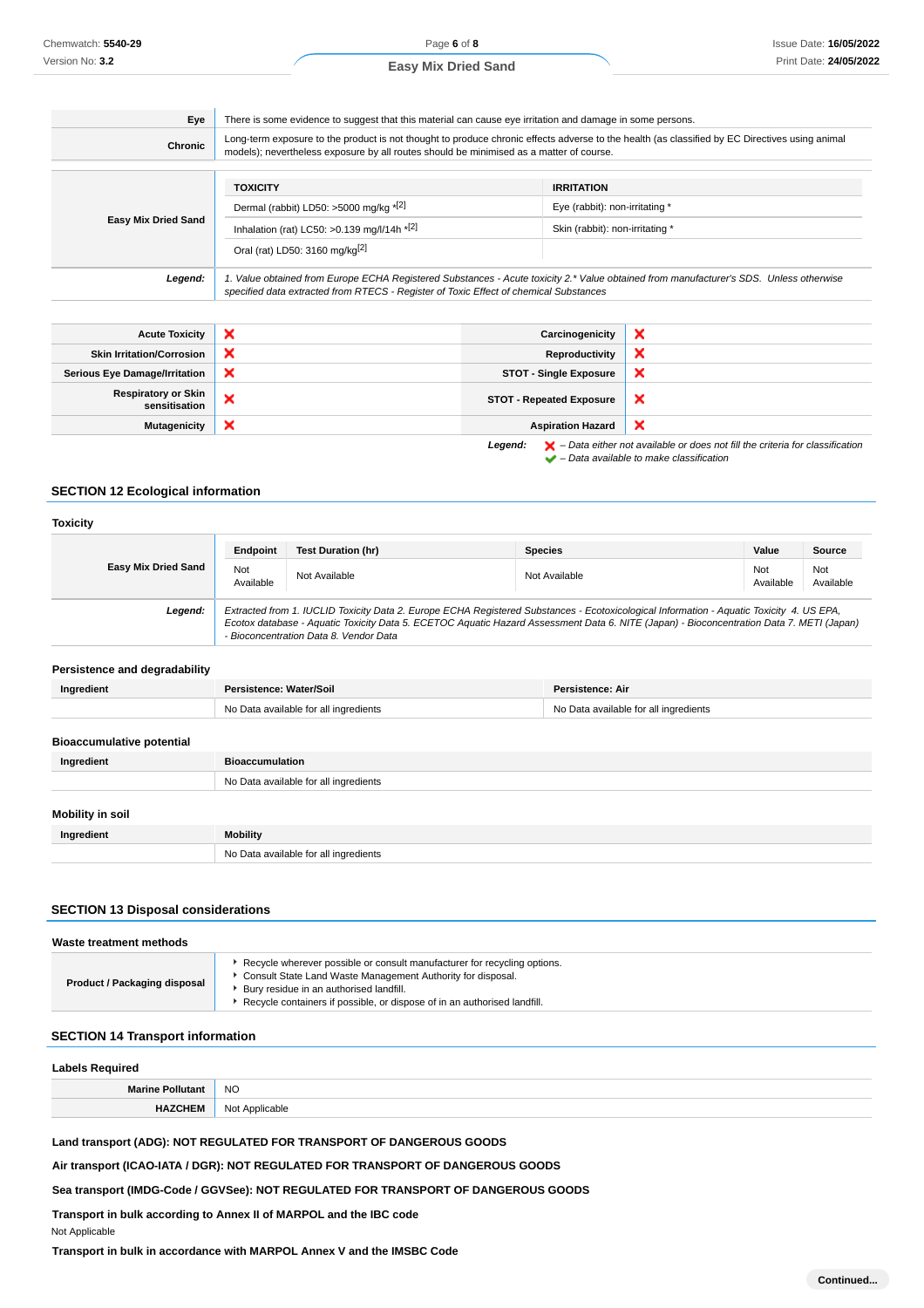Page **6** of **8**

**Easy Mix Dried Sand**

| Eye<br>Chronic             | There is some evidence to suggest that this material can cause eye irritation and damage in some persons.<br>Long-term exposure to the product is not thought to produce chronic effects adverse to the health (as classified by EC Directives using animal<br>models); nevertheless exposure by all routes should be minimised as a matter of course. |                                                                                                                                        |  |
|----------------------------|--------------------------------------------------------------------------------------------------------------------------------------------------------------------------------------------------------------------------------------------------------------------------------------------------------------------------------------------------------|----------------------------------------------------------------------------------------------------------------------------------------|--|
|                            | <b>TOXICITY</b>                                                                                                                                                                                                                                                                                                                                        | <b>IRRITATION</b>                                                                                                                      |  |
| <b>Easy Mix Dried Sand</b> | Dermal (rabbit) LD50: >5000 mg/kg *[2]                                                                                                                                                                                                                                                                                                                 | Eye (rabbit): non-irritating *                                                                                                         |  |
|                            | Inhalation (rat) LC50: > 0.139 mg/l/14h $*$ <sup>[2]</sup>                                                                                                                                                                                                                                                                                             | Skin (rabbit): non-irritating *                                                                                                        |  |
|                            | Oral (rat) LD50: 3160 mg/kg <sup>[2]</sup>                                                                                                                                                                                                                                                                                                             |                                                                                                                                        |  |
| Legend:                    | specified data extracted from RTECS - Register of Toxic Effect of chemical Substances                                                                                                                                                                                                                                                                  | 1. Value obtained from Europe ECHA Registered Substances - Acute toxicity 2.* Value obtained from manufacturer's SDS. Unless otherwise |  |

| <b>Acute Toxicity</b>                       | $\boldsymbol{\mathsf{x}}$ | Carcinogenicity                 | ×                                                                                                  |
|---------------------------------------------|---------------------------|---------------------------------|----------------------------------------------------------------------------------------------------|
| <b>Skin Irritation/Corrosion</b>            | $\boldsymbol{\mathsf{x}}$ | Reproductivity                  | ×                                                                                                  |
| <b>Serious Eye Damage/Irritation</b>        | ×                         | <b>STOT - Single Exposure</b>   | ×                                                                                                  |
| <b>Respiratory or Skin</b><br>sensitisation | $\boldsymbol{\mathsf{x}}$ | <b>STOT - Repeated Exposure</b> | ×                                                                                                  |
| Mutagenicity                                | ×                         | <b>Aspiration Hazard</b>        | ×                                                                                                  |
|                                             |                           | Legend:                         | $\blacktriangleright$ - Data either not available or does not fill the criteria for classification |

 $\blacktriangleright$  – Data available to make classification

## **SECTION 12 Ecological information**

| <b>Toxicity</b>                  |                                                                                                                                                                                                                                                                                                                                |                                       |                |                                       |                  |
|----------------------------------|--------------------------------------------------------------------------------------------------------------------------------------------------------------------------------------------------------------------------------------------------------------------------------------------------------------------------------|---------------------------------------|----------------|---------------------------------------|------------------|
|                                  | Endpoint                                                                                                                                                                                                                                                                                                                       | <b>Test Duration (hr)</b>             | <b>Species</b> | Value                                 | Source           |
| <b>Easy Mix Dried Sand</b>       | Not<br>Available                                                                                                                                                                                                                                                                                                               | Not Available                         | Not Available  | Not<br>Available                      | Not<br>Available |
| Legend:                          | Extracted from 1. IUCLID Toxicity Data 2. Europe ECHA Registered Substances - Ecotoxicological Information - Aquatic Toxicity 4. US EPA,<br>Ecotox database - Aquatic Toxicity Data 5. ECETOC Aquatic Hazard Assessment Data 6. NITE (Japan) - Bioconcentration Data 7. METI (Japan)<br>- Bioconcentration Data 8. Vendor Data |                                       |                |                                       |                  |
| Persistence and degradability    |                                                                                                                                                                                                                                                                                                                                |                                       |                |                                       |                  |
| Ingredient                       | Persistence: Water/Soil<br><b>Persistence: Air</b>                                                                                                                                                                                                                                                                             |                                       |                |                                       |                  |
|                                  |                                                                                                                                                                                                                                                                                                                                | No Data available for all ingredients |                | No Data available for all ingredients |                  |
| <b>Bioaccumulative potential</b> |                                                                                                                                                                                                                                                                                                                                |                                       |                |                                       |                  |
| Ingredient                       | <b>Bioaccumulation</b>                                                                                                                                                                                                                                                                                                         |                                       |                |                                       |                  |
|                                  |                                                                                                                                                                                                                                                                                                                                | No Data available for all ingredients |                |                                       |                  |
| Mobility in soil                 |                                                                                                                                                                                                                                                                                                                                |                                       |                |                                       |                  |
| Ingredient                       | <b>Mobility</b>                                                                                                                                                                                                                                                                                                                |                                       |                |                                       |                  |
|                                  |                                                                                                                                                                                                                                                                                                                                | No Data available for all ingredients |                |                                       |                  |

## **SECTION 13 Disposal considerations**

| Waste treatment methods      |                                                                                                                                                                                                                                                                    |
|------------------------------|--------------------------------------------------------------------------------------------------------------------------------------------------------------------------------------------------------------------------------------------------------------------|
| Product / Packaging disposal | ► Recycle wherever possible or consult manufacturer for recycling options.<br>Consult State Land Waste Management Authority for disposal.<br>Bury residue in an authorised landfill.<br>▶ Recycle containers if possible, or dispose of in an authorised landfill. |

## **SECTION 14 Transport information**

| <b>Labels Required</b>  |                               |
|-------------------------|-------------------------------|
| <b>Marine Pollutant</b> | <b>NO</b>                     |
|                         | <b>HAZCHEM</b> Not Applicable |
|                         |                               |

## **Land transport (ADG): NOT REGULATED FOR TRANSPORT OF DANGEROUS GOODS**

**Air transport (ICAO-IATA / DGR): NOT REGULATED FOR TRANSPORT OF DANGEROUS GOODS**

**Sea transport (IMDG-Code / GGVSee): NOT REGULATED FOR TRANSPORT OF DANGEROUS GOODS**

**Transport in bulk according to Annex II of MARPOL and the IBC code** Not Applicable

**Transport in bulk in accordance with MARPOL Annex V and the IMSBC Code**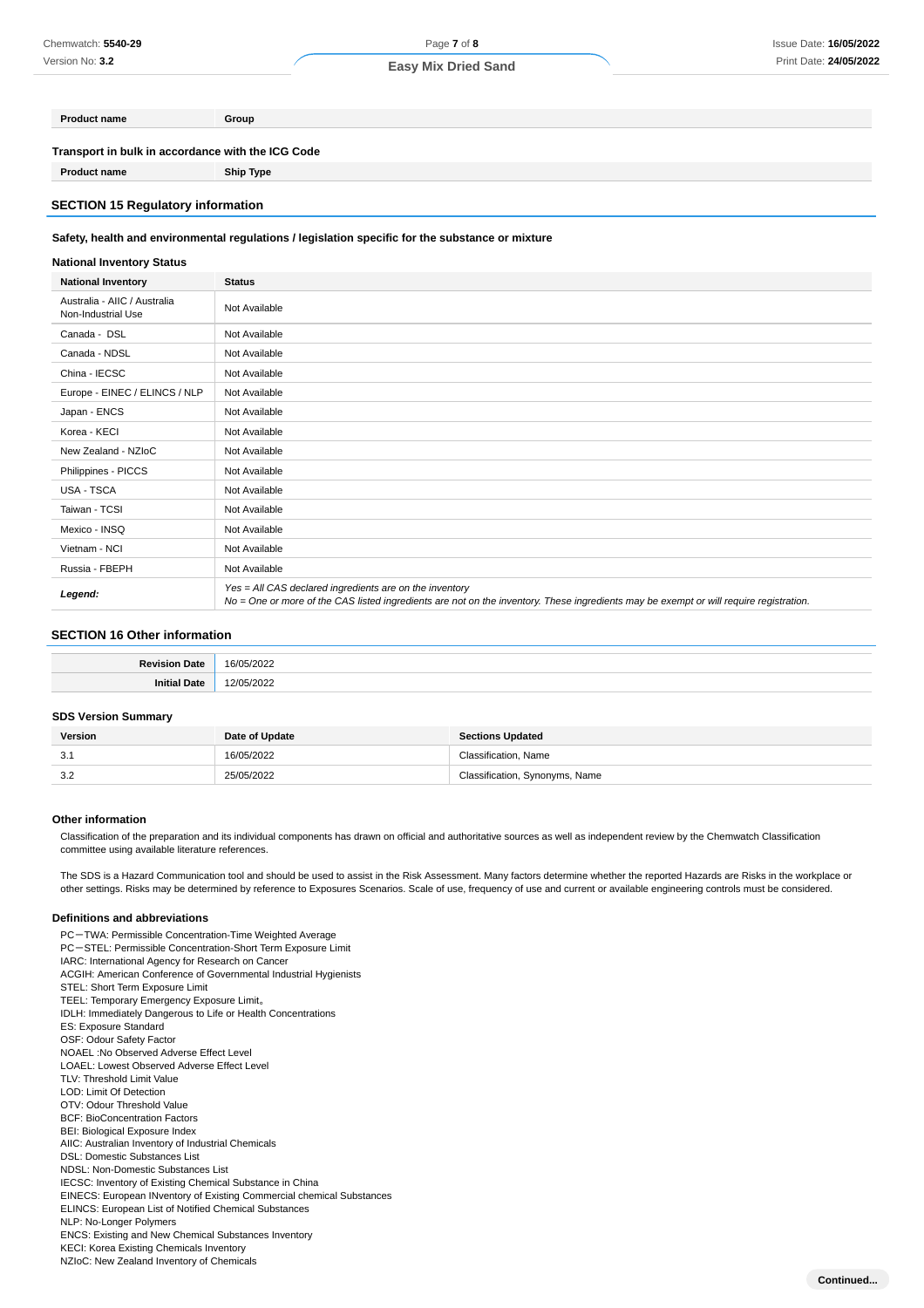## Page **7** of **8 Easy Mix Dried Sand**

| Transport in bulk in accordance with the ICG Code |  |
|---------------------------------------------------|--|

**Product name Ship Type**

#### **SECTION 15 Regulatory information**

**Product name Group**

#### **Safety, health and environmental regulations / legislation specific for the substance or mixture**

#### **National Inventory Status**

| <b>National Inventory</b>                          | <b>Status</b>                                                                                                                                                                                     |
|----------------------------------------------------|---------------------------------------------------------------------------------------------------------------------------------------------------------------------------------------------------|
| Australia - AIIC / Australia<br>Non-Industrial Use | Not Available                                                                                                                                                                                     |
| Canada - DSL                                       | Not Available                                                                                                                                                                                     |
| Canada - NDSL                                      | Not Available                                                                                                                                                                                     |
| China - IECSC                                      | Not Available                                                                                                                                                                                     |
| Europe - EINEC / ELINCS / NLP                      | Not Available                                                                                                                                                                                     |
| Japan - ENCS                                       | Not Available                                                                                                                                                                                     |
| Korea - KECI                                       | Not Available                                                                                                                                                                                     |
| New Zealand - NZIoC                                | Not Available                                                                                                                                                                                     |
| Philippines - PICCS                                | Not Available                                                                                                                                                                                     |
| USA - TSCA                                         | Not Available                                                                                                                                                                                     |
| Taiwan - TCSI                                      | Not Available                                                                                                                                                                                     |
| Mexico - INSQ                                      | Not Available                                                                                                                                                                                     |
| Vietnam - NCI                                      | Not Available                                                                                                                                                                                     |
| Russia - FBEPH                                     | Not Available                                                                                                                                                                                     |
| Legend:                                            | Yes = All CAS declared ingredients are on the inventory<br>No = One or more of the CAS listed ingredients are not on the inventory. These ingredients may be exempt or will require registration. |

#### **SECTION 16 Other information**

#### **SDS Version Summary**

| Version | Date of Update | <b>Sections Updated</b>        |
|---------|----------------|--------------------------------|
| 3.1     | 16/05/2022     | Classification, Name           |
| 3.2     | 25/05/2022     | Classification, Synonyms, Name |

#### **Other information**

Classification of the preparation and its individual components has drawn on official and authoritative sources as well as independent review by the Chemwatch Classification committee using available literature references.

The SDS is a Hazard Communication tool and should be used to assist in the Risk Assessment. Many factors determine whether the reported Hazards are Risks in the workplace or other settings. Risks may be determined by reference to Exposures Scenarios. Scale of use, frequency of use and current or available engineering controls must be considered.

#### **Definitions and abbreviations**

PC-TWA: Permissible Concentration-Time Weighted Average PC-STEL: Permissible Concentration-Short Term Exposure Limit IARC: International Agency for Research on Cancer ACGIH: American Conference of Governmental Industrial Hygienists STEL: Short Term Exposure Limit TEEL: Temporary Emergency Exposure Limit。 IDLH: Immediately Dangerous to Life or Health Concentrations ES: Exposure Standard OSF: Odour Safety Factor NOAEL :No Observed Adverse Effect Level LOAEL: Lowest Observed Adverse Effect Level TLV: Threshold Limit Value LOD: Limit Of Detection OTV: Odour Threshold Value BCF: BioConcentration Factors BEI: Biological Exposure Index AIIC: Australian Inventory of Industrial Chemicals DSL: Domestic Substances List NDSL: Non-Domestic Substances List IECSC: Inventory of Existing Chemical Substance in China EINECS: European INventory of Existing Commercial chemical Substances ELINCS: European List of Notified Chemical Substances NLP: No-Longer Polymers ENCS: Existing and New Chemical Substances Inventory KECI: Korea Existing Chemicals Inventory NZIoC: New Zealand Inventory of Chemicals